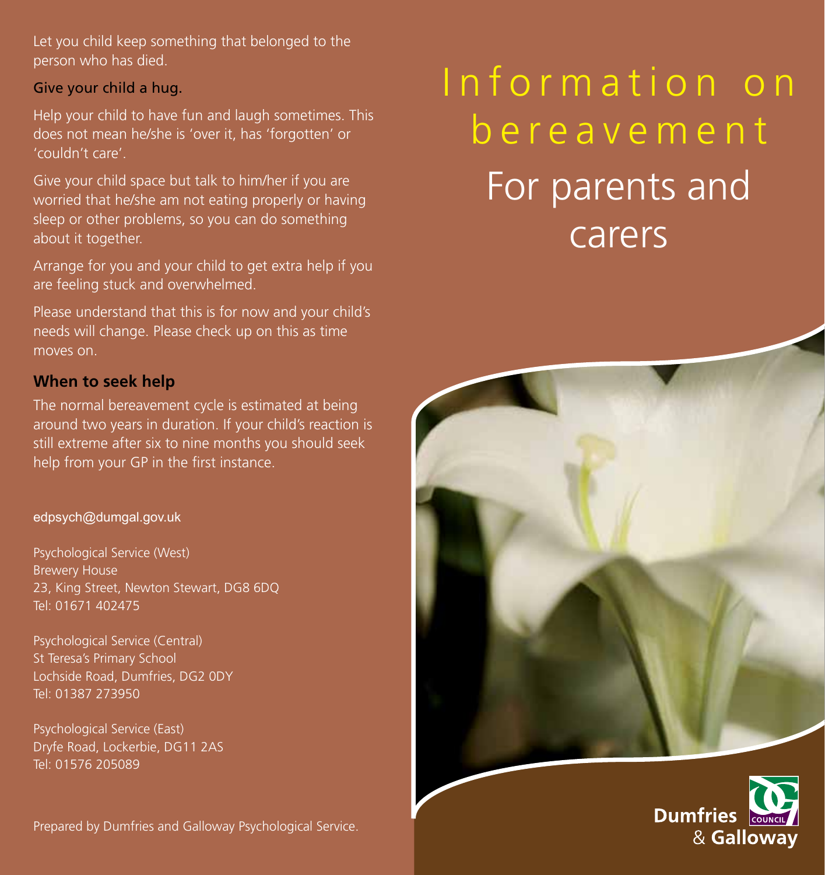Let you child keep something that belonged to the person who has died.

### Give your child a hug.

Help your child to have fun and laugh sometimes. This does not mean he/she is 'over it, has 'forgotten' or 'couldn't care'.

Give your child space but talk to him/her if you are worried that he/she am not eating properly or having sleep or other problems, so you can do something about it together.

Arrange for you and your child to get extra help if you are feeling stuck and overwhelmed.

Please understand that this is for now and your child's needs will change. Please check up on this as time moves on.

### **When to seek help**

The normal bereavement cycle is estimated at being around two years in duration. If your child's reaction is still extreme after six to nine months you should seek help from your GP in the first instance.

#### edpsych@dumgal.gov.uk

Psychological Service (West) Brewery House 23, King Street, Newton Stewart, DG8 6DQ Tel: 01671 402475

Psychological Service (Central) St Teresa's Primary School Lochside Road, Dumfries, DG2 0DY Tel: 01387 273950

Psychological Service (East) Dryfe Road, Lockerbie, DG11 2AS Tel: 01576 205089

Prepared by Dumfries and Galloway Psychological Service.

# Information on bereavement For parents and carers